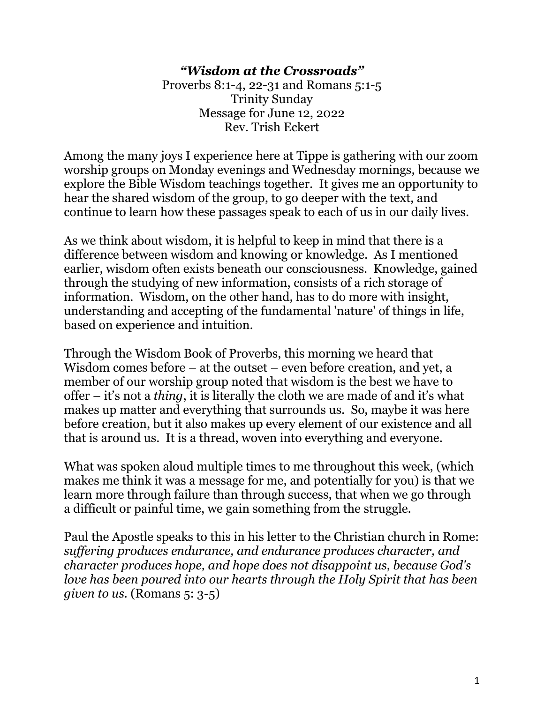## *"Wisdom at the Crossroads"*

Proverbs 8:1-4, 22-31 and Romans 5:1-5 Trinity Sunday Message for June 12, 2022 Rev. Trish Eckert

Among the many joys I experience here at Tippe is gathering with our zoom worship groups on Monday evenings and Wednesday mornings, because we explore the Bible Wisdom teachings together. It gives me an opportunity to hear the shared wisdom of the group, to go deeper with the text, and continue to learn how these passages speak to each of us in our daily lives.

As we think about wisdom, it is helpful to keep in mind that there is a difference between wisdom and knowing or knowledge. As I mentioned earlier, wisdom often exists beneath our consciousness. Knowledge, gained through the studying of new information, consists of a rich storage of information. Wisdom, on the other hand, has to do more with insight, understanding and accepting of the fundamental 'nature' of things in life, based on experience and intuition.

Through the Wisdom Book of Proverbs, this morning we heard that Wisdom comes before – at the outset – even before creation, and yet, a member of our worship group noted that wisdom is the best we have to offer – it's not a *thing*, it is literally the cloth we are made of and it's what makes up matter and everything that surrounds us. So, maybe it was here before creation, but it also makes up every element of our existence and all that is around us. It is a thread, woven into everything and everyone.

What was spoken aloud multiple times to me throughout this week, (which makes me think it was a message for me, and potentially for you) is that we learn more through failure than through success, that when we go through a difficult or painful time, we gain something from the struggle.

Paul the Apostle speaks to this in his letter to the Christian church in Rome: *suffering produces endurance, and endurance produces character, and character produces hope, and hope does not disappoint us, because God's love has been poured into our hearts through the Holy Spirit that has been given to us.* (Romans 5: 3-5)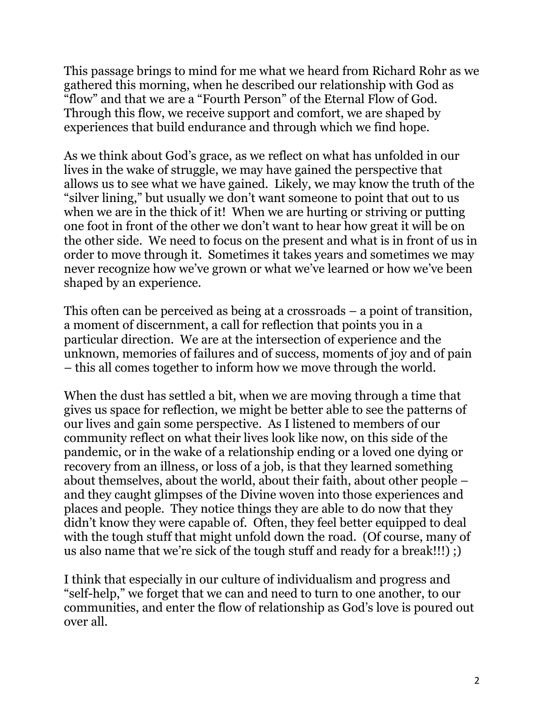This passage brings to mind for me what we heard from Richard Rohr as we gathered this morning, when he described our relationship with God as "flow" and that we are a "Fourth Person" of the Eternal Flow of God. Through this flow, we receive support and comfort, we are shaped by experiences that build endurance and through which we find hope.

As we think about God's grace, as we reflect on what has unfolded in our lives in the wake of struggle, we may have gained the perspective that allows us to see what we have gained. Likely, we may know the truth of the "silver lining," but usually we don't want someone to point that out to us when we are in the thick of it! When we are hurting or striving or putting one foot in front of the other we don't want to hear how great it will be on the other side. We need to focus on the present and what is in front of us in order to move through it. Sometimes it takes years and sometimes we may never recognize how we've grown or what we've learned or how we've been shaped by an experience.

This often can be perceived as being at a crossroads – a point of transition, a moment of discernment, a call for reflection that points you in a particular direction. We are at the intersection of experience and the unknown, memories of failures and of success, moments of joy and of pain – this all comes together to inform how we move through the world.

When the dust has settled a bit, when we are moving through a time that gives us space for reflection, we might be better able to see the patterns of our lives and gain some perspective. As I listened to members of our community reflect on what their lives look like now, on this side of the pandemic, or in the wake of a relationship ending or a loved one dying or recovery from an illness, or loss of a job, is that they learned something about themselves, about the world, about their faith, about other people – and they caught glimpses of the Divine woven into those experiences and places and people. They notice things they are able to do now that they didn't know they were capable of. Often, they feel better equipped to deal with the tough stuff that might unfold down the road. (Of course, many of us also name that we're sick of the tough stuff and ready for a break!!!) ;)

I think that especially in our culture of individualism and progress and "self-help," we forget that we can and need to turn to one another, to our communities, and enter the flow of relationship as God's love is poured out over all.